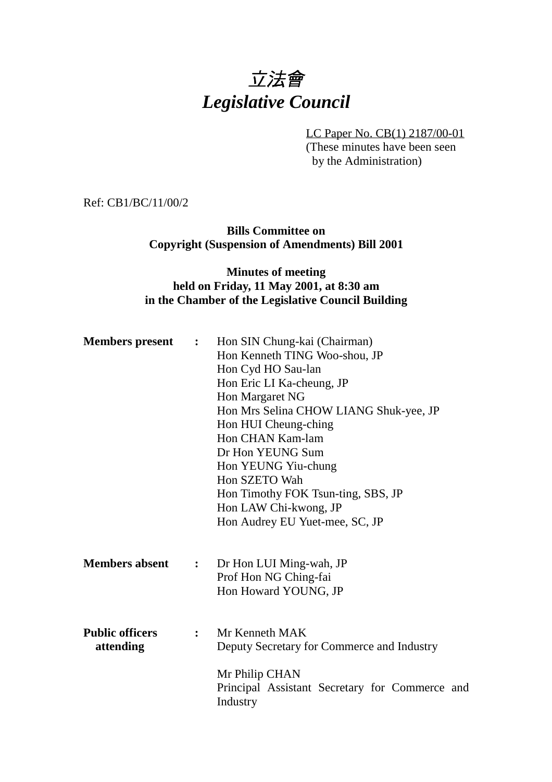# 立法會 *Legislative Council*

LC Paper No. CB(1) 2187/00-01 (These minutes have been seen by the Administration)

Ref: CB1/BC/11/00/2

**Bills Committee on Copyright (Suspension of Amendments) Bill 2001**

## **Minutes of meeting held on Friday, 11 May 2001, at 8:30 am in the Chamber of the Legislative Council Building**

| <b>Members present</b>              | $\ddot{\bullet}$ | Hon SIN Chung-kai (Chairman)<br>Hon Kenneth TING Woo-shou, JP<br>Hon Cyd HO Sau-lan<br>Hon Eric LI Ka-cheung, JP<br>Hon Margaret NG<br>Hon Mrs Selina CHOW LIANG Shuk-yee, JP<br>Hon HUI Cheung-ching<br>Hon CHAN Kam-lam<br>Dr Hon YEUNG Sum<br>Hon YEUNG Yiu-chung<br>Hon SZETO Wah<br>Hon Timothy FOK Tsun-ting, SBS, JP<br>Hon LAW Chi-kwong, JP |
|-------------------------------------|------------------|------------------------------------------------------------------------------------------------------------------------------------------------------------------------------------------------------------------------------------------------------------------------------------------------------------------------------------------------------|
|                                     |                  | Hon Audrey EU Yuet-mee, SC, JP                                                                                                                                                                                                                                                                                                                       |
| <b>Members absent</b>               | $\ddot{\cdot}$   | Dr Hon LUI Ming-wah, JP<br>Prof Hon NG Ching-fai<br>Hon Howard YOUNG, JP                                                                                                                                                                                                                                                                             |
| <b>Public officers</b><br>attending | $\mathbf{r}$     | Mr Kenneth MAK<br>Deputy Secretary for Commerce and Industry<br>Mr Philip CHAN<br>Principal Assistant Secretary for Commerce and<br>Industry                                                                                                                                                                                                         |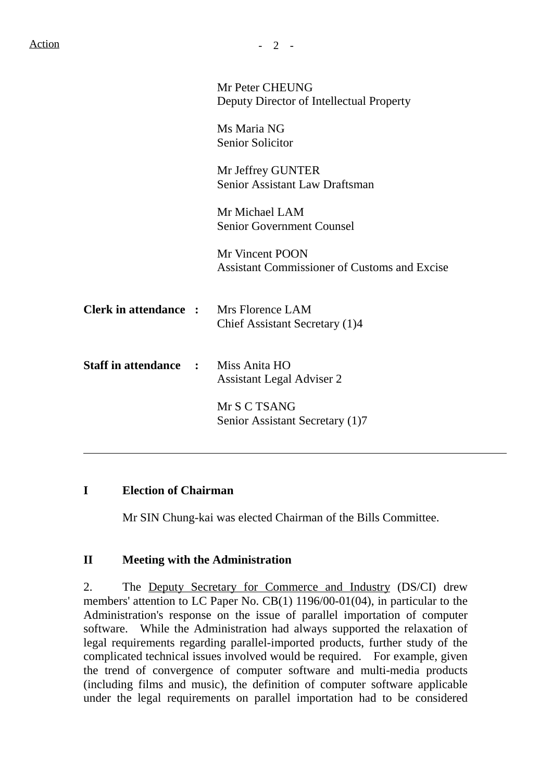|                                               | Mr Peter CHEUNG<br>Deputy Director of Intellectual Property            |
|-----------------------------------------------|------------------------------------------------------------------------|
|                                               | Ms Maria NG<br><b>Senior Solicitor</b>                                 |
|                                               | Mr Jeffrey GUNTER<br><b>Senior Assistant Law Draftsman</b>             |
|                                               | Mr Michael LAM<br><b>Senior Government Counsel</b>                     |
|                                               | Mr Vincent POON<br><b>Assistant Commissioner of Customs and Excise</b> |
| <b>Clerk in attendance :</b> Mrs Florence LAM | Chief Assistant Secretary (1)4                                         |
| <b>Staff in attendance :</b>                  | Miss Anita HO<br><b>Assistant Legal Adviser 2</b>                      |
|                                               | Mr S C TSANG<br>Senior Assistant Secretary (1)7                        |

#### **I Election of Chairman**

 $\overline{a}$ 

Mr SIN Chung-kai was elected Chairman of the Bills Committee.

## **II Meeting with the Administration**

2. The Deputy Secretary for Commerce and Industry (DS/CI) drew members' attention to LC Paper No. CB(1) 1196/00-01(04), in particular to the Administration's response on the issue of parallel importation of computer software. While the Administration had always supported the relaxation of legal requirements regarding parallel-imported products, further study of the complicated technical issues involved would be required. For example, given the trend of convergence of computer software and multi-media products (including films and music), the definition of computer software applicable under the legal requirements on parallel importation had to be considered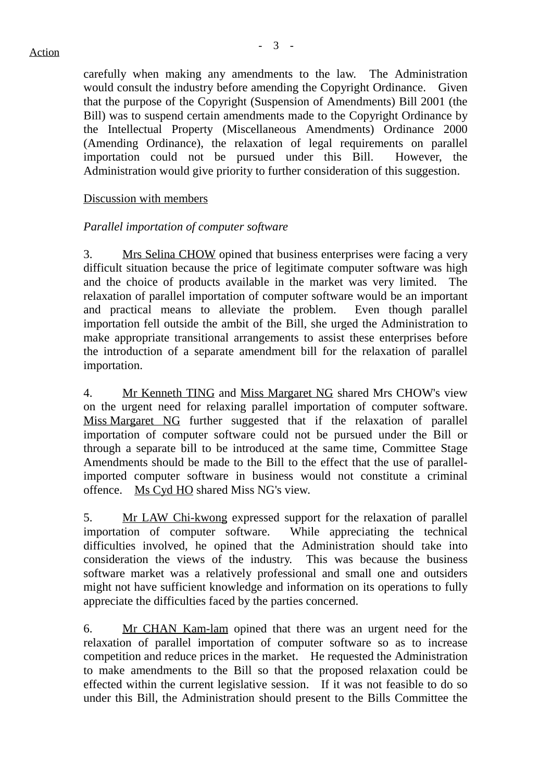carefully when making any amendments to the law. The Administration would consult the industry before amending the Copyright Ordinance. Given that the purpose of the Copyright (Suspension of Amendments) Bill 2001 (the Bill) was to suspend certain amendments made to the Copyright Ordinance by the Intellectual Property (Miscellaneous Amendments) Ordinance 2000 (Amending Ordinance), the relaxation of legal requirements on parallel importation could not be pursued under this Bill. However, the Administration would give priority to further consideration of this suggestion.

## Discussion with members

## *Parallel importation of computer software*

3. Mrs Selina CHOW opined that business enterprises were facing a very difficult situation because the price of legitimate computer software was high and the choice of products available in the market was very limited. The relaxation of parallel importation of computer software would be an important and practical means to alleviate the problem. Even though parallel importation fell outside the ambit of the Bill, she urged the Administration to make appropriate transitional arrangements to assist these enterprises before the introduction of a separate amendment bill for the relaxation of parallel importation.

4. Mr Kenneth TING and Miss Margaret NG shared Mrs CHOW's view on the urgent need for relaxing parallel importation of computer software. Miss Margaret NG further suggested that if the relaxation of parallel importation of computer software could not be pursued under the Bill or through a separate bill to be introduced at the same time, Committee Stage Amendments should be made to the Bill to the effect that the use of parallelimported computer software in business would not constitute a criminal offence. Ms Cyd HO shared Miss NG's view.

5. Mr LAW Chi-kwong expressed support for the relaxation of parallel importation of computer software. While appreciating the technical difficulties involved, he opined that the Administration should take into consideration the views of the industry. This was because the business software market was a relatively professional and small one and outsiders might not have sufficient knowledge and information on its operations to fully appreciate the difficulties faced by the parties concerned.

6. Mr CHAN Kam-lam opined that there was an urgent need for the relaxation of parallel importation of computer software so as to increase competition and reduce prices in the market. He requested the Administration to make amendments to the Bill so that the proposed relaxation could be effected within the current legislative session. If it was not feasible to do so under this Bill, the Administration should present to the Bills Committee the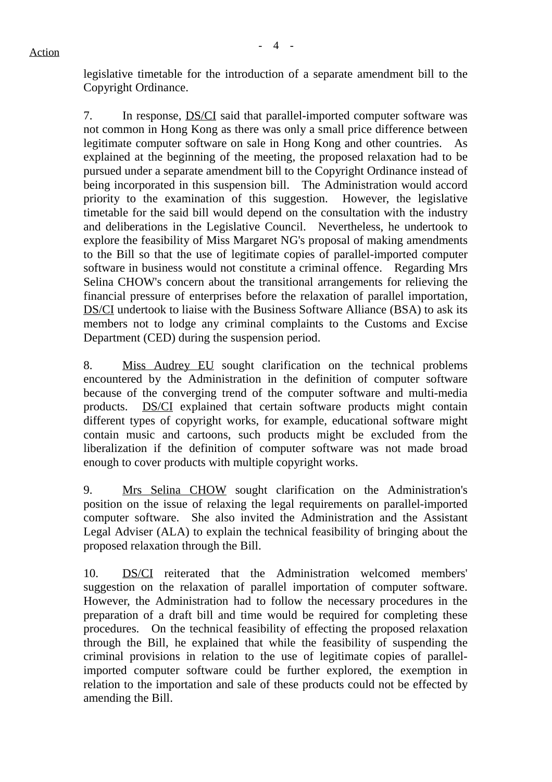legislative timetable for the introduction of a separate amendment bill to the Copyright Ordinance.

7. In response, DS/CI said that parallel-imported computer software was not common in Hong Kong as there was only a small price difference between legitimate computer software on sale in Hong Kong and other countries. As explained at the beginning of the meeting, the proposed relaxation had to be pursued under a separate amendment bill to the Copyright Ordinance instead of being incorporated in this suspension bill. The Administration would accord priority to the examination of this suggestion. However, the legislative timetable for the said bill would depend on the consultation with the industry and deliberations in the Legislative Council. Nevertheless, he undertook to explore the feasibility of Miss Margaret NG's proposal of making amendments to the Bill so that the use of legitimate copies of parallel-imported computer software in business would not constitute a criminal offence. Regarding Mrs Selina CHOW's concern about the transitional arrangements for relieving the financial pressure of enterprises before the relaxation of parallel importation, DS/CI undertook to liaise with the Business Software Alliance (BSA) to ask its members not to lodge any criminal complaints to the Customs and Excise Department (CED) during the suspension period.

8. Miss Audrey EU sought clarification on the technical problems encountered by the Administration in the definition of computer software because of the converging trend of the computer software and multi-media products. DS/CI explained that certain software products might contain different types of copyright works, for example, educational software might contain music and cartoons, such products might be excluded from the liberalization if the definition of computer software was not made broad enough to cover products with multiple copyright works.

9. Mrs Selina CHOW sought clarification on the Administration's position on the issue of relaxing the legal requirements on parallel-imported computer software. She also invited the Administration and the Assistant Legal Adviser (ALA) to explain the technical feasibility of bringing about the proposed relaxation through the Bill.

10. DS/CI reiterated that the Administration welcomed members' suggestion on the relaxation of parallel importation of computer software. However, the Administration had to follow the necessary procedures in the preparation of a draft bill and time would be required for completing these procedures. On the technical feasibility of effecting the proposed relaxation through the Bill, he explained that while the feasibility of suspending the criminal provisions in relation to the use of legitimate copies of parallelimported computer software could be further explored, the exemption in relation to the importation and sale of these products could not be effected by amending the Bill.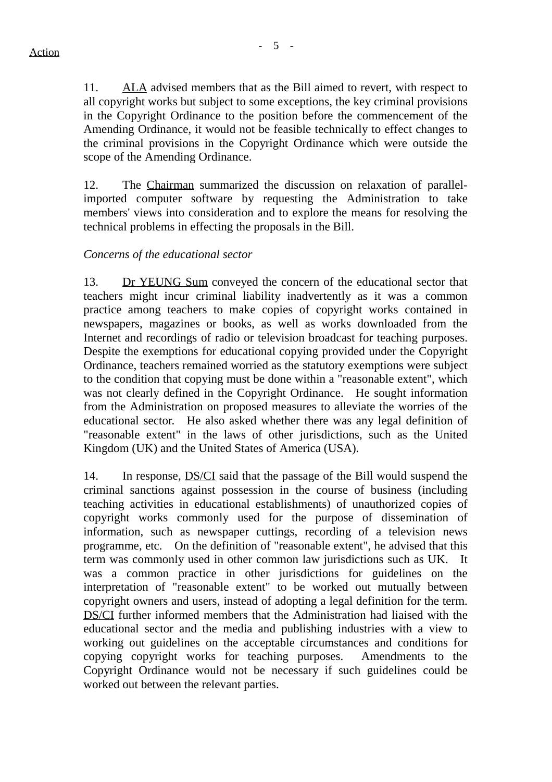11. ALA advised members that as the Bill aimed to revert, with respect to all copyright works but subject to some exceptions, the key criminal provisions in the Copyright Ordinance to the position before the commencement of the Amending Ordinance, it would not be feasible technically to effect changes to the criminal provisions in the Copyright Ordinance which were outside the scope of the Amending Ordinance.

12. The Chairman summarized the discussion on relaxation of parallelimported computer software by requesting the Administration to take members' views into consideration and to explore the means for resolving the technical problems in effecting the proposals in the Bill.

## *Concerns of the educational sector*

13. Dr YEUNG Sum conveyed the concern of the educational sector that teachers might incur criminal liability inadvertently as it was a common practice among teachers to make copies of copyright works contained in newspapers, magazines or books, as well as works downloaded from the Internet and recordings of radio or television broadcast for teaching purposes. Despite the exemptions for educational copying provided under the Copyright Ordinance, teachers remained worried as the statutory exemptions were subject to the condition that copying must be done within a "reasonable extent", which was not clearly defined in the Copyright Ordinance. He sought information from the Administration on proposed measures to alleviate the worries of the educational sector. He also asked whether there was any legal definition of "reasonable extent" in the laws of other jurisdictions, such as the United Kingdom (UK) and the United States of America (USA).

14. In response, DS/CI said that the passage of the Bill would suspend the criminal sanctions against possession in the course of business (including teaching activities in educational establishments) of unauthorized copies of copyright works commonly used for the purpose of dissemination of information, such as newspaper cuttings, recording of a television news programme, etc. On the definition of "reasonable extent", he advised that this term was commonly used in other common law jurisdictions such as UK. It was a common practice in other jurisdictions for guidelines on the interpretation of "reasonable extent" to be worked out mutually between copyright owners and users, instead of adopting a legal definition for the term. DS/CI further informed members that the Administration had liaised with the educational sector and the media and publishing industries with a view to working out guidelines on the acceptable circumstances and conditions for copying copyright works for teaching purposes. Amendments to the Copyright Ordinance would not be necessary if such guidelines could be worked out between the relevant parties.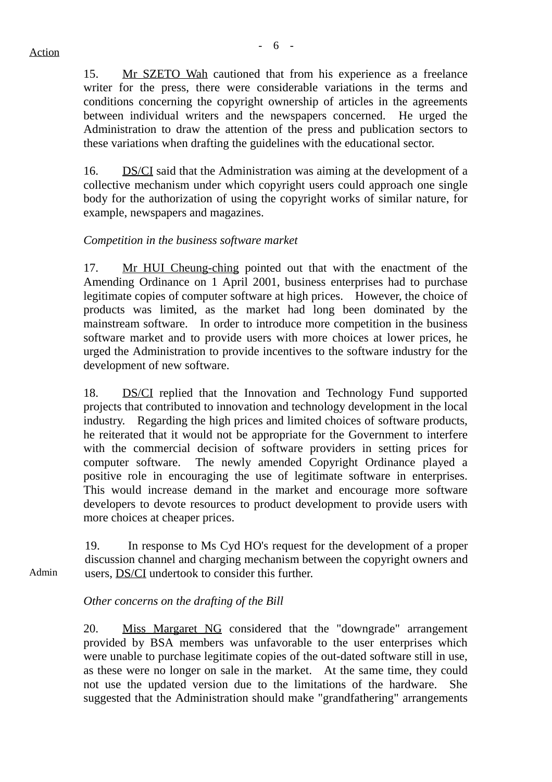15. Mr SZETO Wah cautioned that from his experience as a freelance writer for the press, there were considerable variations in the terms and conditions concerning the copyright ownership of articles in the agreements between individual writers and the newspapers concerned. He urged the Administration to draw the attention of the press and publication sectors to these variations when drafting the guidelines with the educational sector.

16. DS/CI said that the Administration was aiming at the development of a collective mechanism under which copyright users could approach one single body for the authorization of using the copyright works of similar nature, for example, newspapers and magazines.

## *Competition in the business software market*

17. Mr HUI Cheung-ching pointed out that with the enactment of the Amending Ordinance on 1 April 2001, business enterprises had to purchase legitimate copies of computer software at high prices. However, the choice of products was limited, as the market had long been dominated by the mainstream software. In order to introduce more competition in the business software market and to provide users with more choices at lower prices, he urged the Administration to provide incentives to the software industry for the development of new software.

18. DS/CI replied that the Innovation and Technology Fund supported projects that contributed to innovation and technology development in the local industry. Regarding the high prices and limited choices of software products, he reiterated that it would not be appropriate for the Government to interfere with the commercial decision of software providers in setting prices for computer software. The newly amended Copyright Ordinance played a positive role in encouraging the use of legitimate software in enterprises. This would increase demand in the market and encourage more software developers to devote resources to product development to provide users with more choices at cheaper prices.

Admin 19. In response to Ms Cyd HO's request for the development of a proper discussion channel and charging mechanism between the copyright owners and users, DS/CI undertook to consider this further.

## *Other concerns on the drafting of the Bill*

20. Miss Margaret NG considered that the "downgrade" arrangement provided by BSA members was unfavorable to the user enterprises which were unable to purchase legitimate copies of the out-dated software still in use, as these were no longer on sale in the market. At the same time, they could not use the updated version due to the limitations of the hardware. She suggested that the Administration should make "grandfathering" arrangements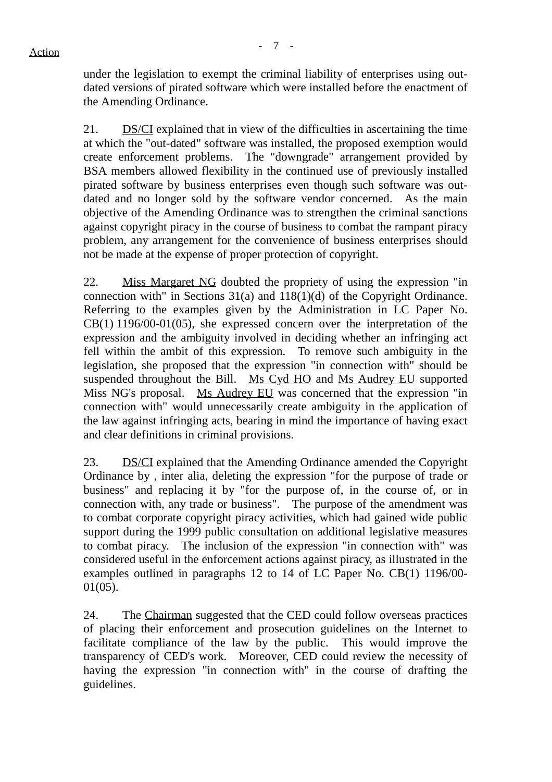under the legislation to exempt the criminal liability of enterprises using outdated versions of pirated software which were installed before the enactment of the Amending Ordinance.

21. DS/CI explained that in view of the difficulties in ascertaining the time at which the "out-dated" software was installed, the proposed exemption would create enforcement problems. The "downgrade" arrangement provided by BSA members allowed flexibility in the continued use of previously installed pirated software by business enterprises even though such software was outdated and no longer sold by the software vendor concerned. As the main objective of the Amending Ordinance was to strengthen the criminal sanctions against copyright piracy in the course of business to combat the rampant piracy problem, any arrangement for the convenience of business enterprises should not be made at the expense of proper protection of copyright.

22. Miss Margaret NG doubted the propriety of using the expression "in connection with" in Sections 31(a) and 118(1)(d) of the Copyright Ordinance. Referring to the examples given by the Administration in LC Paper No. CB(1) 1196/00-01(05), she expressed concern over the interpretation of the expression and the ambiguity involved in deciding whether an infringing act fell within the ambit of this expression. To remove such ambiguity in the legislation, she proposed that the expression "in connection with" should be suspended throughout the Bill. Ms Cyd HO and Ms Audrey EU supported Miss NG's proposal. Ms Audrey EU was concerned that the expression "in connection with" would unnecessarily create ambiguity in the application of the law against infringing acts, bearing in mind the importance of having exact and clear definitions in criminal provisions.

23. DS/CI explained that the Amending Ordinance amended the Copyright Ordinance by , inter alia, deleting the expression "for the purpose of trade or business" and replacing it by "for the purpose of, in the course of, or in connection with, any trade or business". The purpose of the amendment was to combat corporate copyright piracy activities, which had gained wide public support during the 1999 public consultation on additional legislative measures to combat piracy. The inclusion of the expression "in connection with" was considered useful in the enforcement actions against piracy, as illustrated in the examples outlined in paragraphs 12 to 14 of LC Paper No. CB(1) 1196/00- 01(05).

24. The Chairman suggested that the CED could follow overseas practices of placing their enforcement and prosecution guidelines on the Internet to facilitate compliance of the law by the public. This would improve the transparency of CED's work. Moreover, CED could review the necessity of having the expression "in connection with" in the course of drafting the guidelines.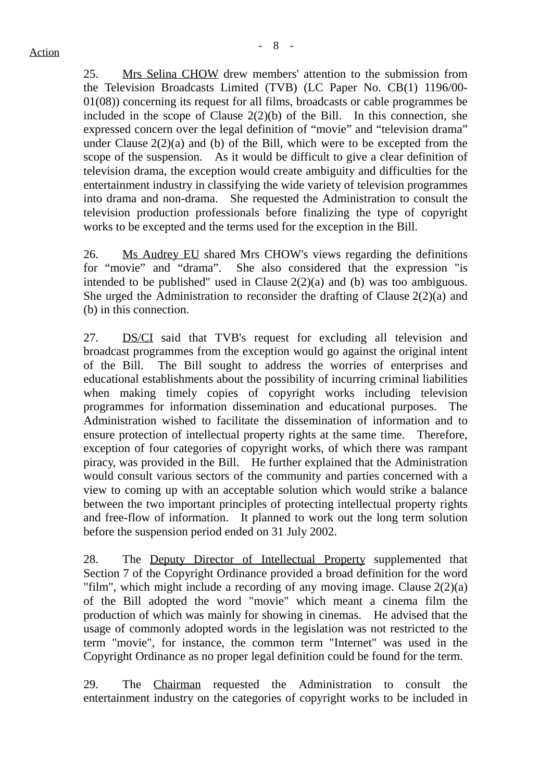25. Mrs Selina CHOW drew members' attention to the submission from the Television Broadcasts Limited (TVB) (LC Paper No. CB(1) 1196/00- 01(08)) concerning its request for all films, broadcasts or cable programmes be included in the scope of Clause  $2(2)(b)$  of the Bill. In this connection, she expressed concern over the legal definition of "movie" and "television drama" under Clause  $2(2)(a)$  and (b) of the Bill, which were to be excepted from the scope of the suspension. As it would be difficult to give a clear definition of television drama, the exception would create ambiguity and difficulties for the entertainment industry in classifying the wide variety of television programmes into drama and non-drama. She requested the Administration to consult the television production professionals before finalizing the type of copyright works to be excepted and the terms used for the exception in the Bill.

26. Ms Audrey EU shared Mrs CHOW's views regarding the definitions for "movie" and "drama". She also considered that the expression "is intended to be published" used in Clause 2(2)(a) and (b) was too ambiguous. She urged the Administration to reconsider the drafting of Clause 2(2)(a) and (b) in this connection.

27. DS/CI said that TVB's request for excluding all television and broadcast programmes from the exception would go against the original intent of the Bill. The Bill sought to address the worries of enterprises and educational establishments about the possibility of incurring criminal liabilities when making timely copies of copyright works including television programmes for information dissemination and educational purposes. The Administration wished to facilitate the dissemination of information and to ensure protection of intellectual property rights at the same time. Therefore, exception of four categories of copyright works, of which there was rampant piracy, was provided in the Bill. He further explained that the Administration would consult various sectors of the community and parties concerned with a view to coming up with an acceptable solution which would strike a balance between the two important principles of protecting intellectual property rights and free-flow of information. It planned to work out the long term solution before the suspension period ended on 31 July 2002.

28. The Deputy Director of Intellectual Property supplemented that Section 7 of the Copyright Ordinance provided a broad definition for the word "film", which might include a recording of any moving image. Clause 2(2)(a) of the Bill adopted the word "movie" which meant a cinema film the production of which was mainly for showing in cinemas. He advised that the usage of commonly adopted words in the legislation was not restricted to the term "movie", for instance, the common term "Internet" was used in the Copyright Ordinance as no proper legal definition could be found for the term.

29. The Chairman requested the Administration to consult the entertainment industry on the categories of copyright works to be included in